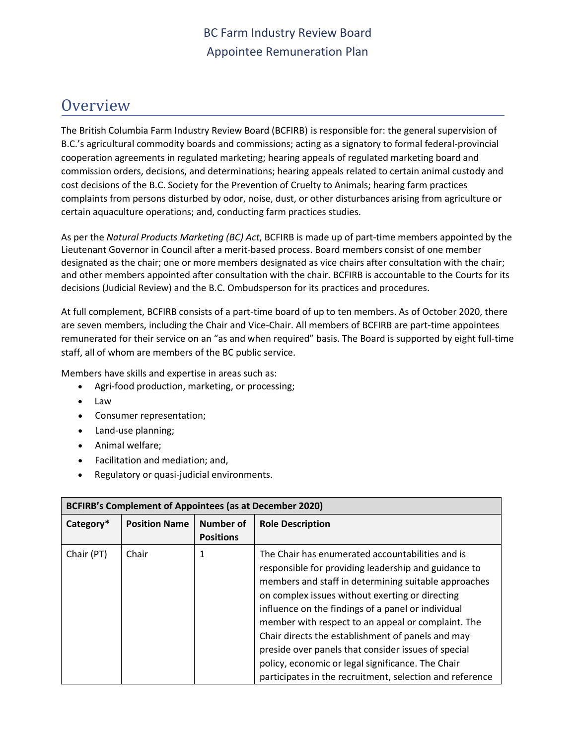## **Overview**

The British Columbia Farm Industry Review Board (BCFIRB) is responsible for: the general supervision of B.C.'s agricultural commodity boards and commissions; acting as a signatory to formal federal-provincial cooperation agreements in regulated marketing; hearing appeals of regulated marketing board and commission orders, decisions, and determinations; hearing appeals related to certain animal custody and cost decisions of the B.C. Society for the Prevention of Cruelty to Animals; hearing farm practices complaints from persons disturbed by odor, noise, dust, or other disturbances arising from agriculture or certain aquaculture operations; and, conducting farm practices studies.

As per the *Natural Products Marketing (BC) Act*, BCFIRB is made up of part-time members appointed by the Lieutenant Governor in Council after a merit-based process. Board members consist of one member designated as the chair; one or more members designated as vice chairs after consultation with the chair; and other members appointed after consultation with the chair. BCFIRB is accountable to the Courts for its decisions (Judicial Review) and the B.C. Ombudsperson for its practices and procedures.

At full complement, BCFIRB consists of a part-time board of up to ten members. As of October 2020, there are seven members, including the Chair and Vice-Chair. All members of BCFIRB are part-time appointees remunerated for their service on an "as and when required" basis. The Board is supported by eight full-time staff, all of whom are members of the BC public service.

Members have skills and expertise in areas such as:

- Agri-food production, marketing, or processing;
- Law
- Consumer representation;
- Land-use planning;
- Animal welfare;
- Facilitation and mediation; and,
- Regulatory or quasi-judicial environments.

| <b>BCFIRB's Complement of Appointees (as at December 2020)</b> |                      |                               |                                                                                                                                                                                                                                                                                                                                                                                                                                                                                                                                                              |  |  |  |
|----------------------------------------------------------------|----------------------|-------------------------------|--------------------------------------------------------------------------------------------------------------------------------------------------------------------------------------------------------------------------------------------------------------------------------------------------------------------------------------------------------------------------------------------------------------------------------------------------------------------------------------------------------------------------------------------------------------|--|--|--|
| Category*                                                      | <b>Position Name</b> | Number of<br><b>Positions</b> | <b>Role Description</b>                                                                                                                                                                                                                                                                                                                                                                                                                                                                                                                                      |  |  |  |
| Chair (PT)                                                     | Chair                | 1                             | The Chair has enumerated accountabilities and is<br>responsible for providing leadership and guidance to<br>members and staff in determining suitable approaches<br>on complex issues without exerting or directing<br>influence on the findings of a panel or individual<br>member with respect to an appeal or complaint. The<br>Chair directs the establishment of panels and may<br>preside over panels that consider issues of special<br>policy, economic or legal significance. The Chair<br>participates in the recruitment, selection and reference |  |  |  |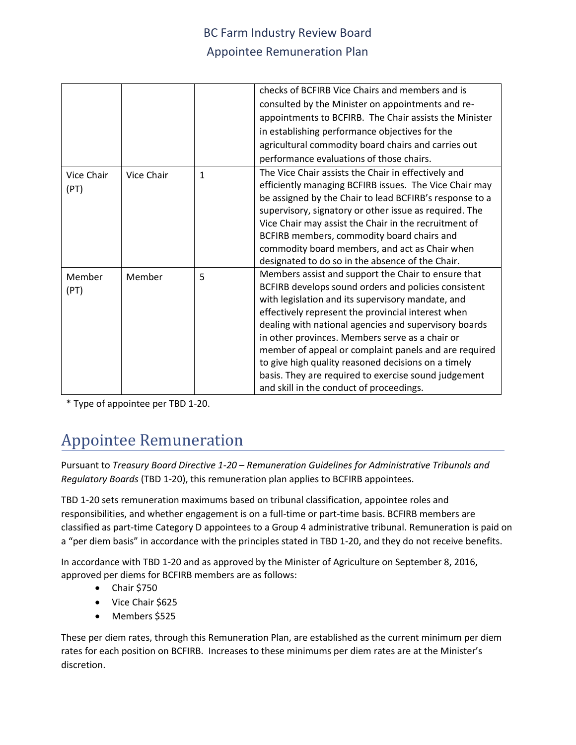|            |            |              | checks of BCFIRB Vice Chairs and members and is         |  |  |
|------------|------------|--------------|---------------------------------------------------------|--|--|
|            |            |              | consulted by the Minister on appointments and re-       |  |  |
|            |            |              | appointments to BCFIRB. The Chair assists the Minister  |  |  |
|            |            |              | in establishing performance objectives for the          |  |  |
|            |            |              | agricultural commodity board chairs and carries out     |  |  |
|            |            |              | performance evaluations of those chairs.                |  |  |
| Vice Chair | Vice Chair | $\mathbf{1}$ | The Vice Chair assists the Chair in effectively and     |  |  |
| (PT)       |            |              | efficiently managing BCFIRB issues. The Vice Chair may  |  |  |
|            |            |              | be assigned by the Chair to lead BCFIRB's response to a |  |  |
|            |            |              | supervisory, signatory or other issue as required. The  |  |  |
|            |            |              | Vice Chair may assist the Chair in the recruitment of   |  |  |
|            |            |              | BCFIRB members, commodity board chairs and              |  |  |
|            |            |              | commodity board members, and act as Chair when          |  |  |
|            |            |              | designated to do so in the absence of the Chair.        |  |  |
| Member     | Member     | 5            | Members assist and support the Chair to ensure that     |  |  |
| (PT)       |            |              | BCFIRB develops sound orders and policies consistent    |  |  |
|            |            |              | with legislation and its supervisory mandate, and       |  |  |
|            |            |              | effectively represent the provincial interest when      |  |  |
|            |            |              | dealing with national agencies and supervisory boards   |  |  |
|            |            |              | in other provinces. Members serve as a chair or         |  |  |
|            |            |              | member of appeal or complaint panels and are required   |  |  |
|            |            |              | to give high quality reasoned decisions on a timely     |  |  |
|            |            |              | basis. They are required to exercise sound judgement    |  |  |
|            |            |              | and skill in the conduct of proceedings.                |  |  |

\* Type of appointee per TBD 1-20.

# Appointee Remuneration

Pursuant to *Treasury Board Directive 1-20 – Remuneration Guidelines for Administrative Tribunals and Regulatory Boards* (TBD 1-20), this remuneration plan applies to BCFIRB appointees.

TBD 1-20 sets remuneration maximums based on tribunal classification, appointee roles and responsibilities, and whether engagement is on a full-time or part-time basis. BCFIRB members are classified as part-time Category D appointees to a Group 4 administrative tribunal. Remuneration is paid on a "per diem basis" in accordance with the principles stated in TBD 1-20, and they do not receive benefits.

In accordance with TBD 1-20 and as approved by the Minister of Agriculture on September 8, 2016, approved per diems for BCFIRB members are as follows:

- Chair \$750
- Vice Chair \$625
- Members \$525

These per diem rates, through this Remuneration Plan, are established as the current minimum per diem rates for each position on BCFIRB. Increases to these minimums per diem rates are at the Minister's discretion.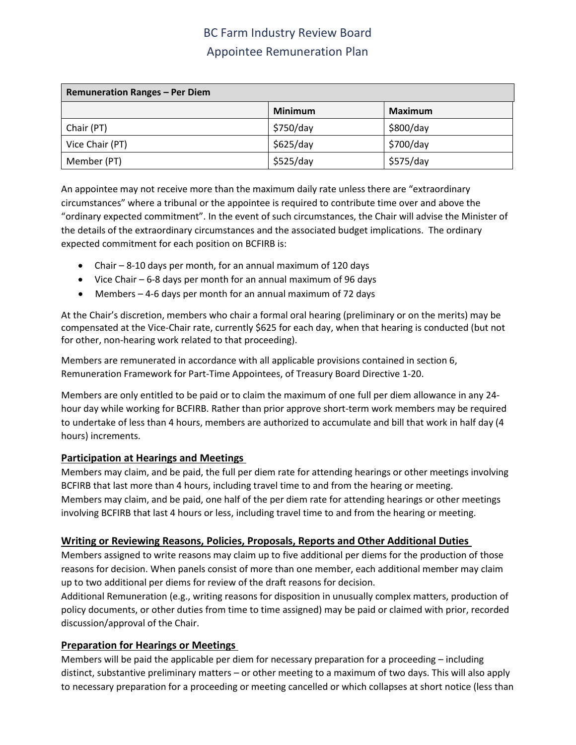| <b>Remuneration Ranges - Per Diem</b> |                |                |  |  |  |  |
|---------------------------------------|----------------|----------------|--|--|--|--|
|                                       | <b>Minimum</b> | <b>Maximum</b> |  |  |  |  |
| Chair (PT)                            | \$750/day      | \$800/day      |  |  |  |  |
| Vice Chair (PT)                       | \$625/day      | \$700/day      |  |  |  |  |
| Member (PT)                           | \$525/day      | \$575/day      |  |  |  |  |

An appointee may not receive more than the maximum daily rate unless there are "extraordinary circumstances" where a tribunal or the appointee is required to contribute time over and above the "ordinary expected commitment". In the event of such circumstances, the Chair will advise the Minister of the details of the extraordinary circumstances and the associated budget implications. The ordinary expected commitment for each position on BCFIRB is:

- Chair 8-10 days per month, for an annual maximum of 120 days
- Vice Chair 6-8 days per month for an annual maximum of 96 days
- Members 4-6 days per month for an annual maximum of 72 days

At the Chair's discretion, members who chair a formal oral hearing (preliminary or on the merits) may be compensated at the Vice-Chair rate, currently \$625 for each day, when that hearing is conducted (but not for other, non-hearing work related to that proceeding).

Members are remunerated in accordance with all applicable provisions contained in section 6, Remuneration Framework for Part-Time Appointees, of Treasury Board Directive 1-20.

Members are only entitled to be paid or to claim the maximum of one full per diem allowance in any 24 hour day while working for BCFIRB. Rather than prior approve short-term work members may be required to undertake of less than 4 hours, members are authorized to accumulate and bill that work in half day (4 hours) increments.

#### **Participation at Hearings and Meetings**

Members may claim, and be paid, the full per diem rate for attending hearings or other meetings involving BCFIRB that last more than 4 hours, including travel time to and from the hearing or meeting. Members may claim, and be paid, one half of the per diem rate for attending hearings or other meetings involving BCFIRB that last 4 hours or less, including travel time to and from the hearing or meeting.

#### **Writing or Reviewing Reasons, Policies, Proposals, Reports and Other Additional Duties**

Members assigned to write reasons may claim up to five additional per diems for the production of those reasons for decision. When panels consist of more than one member, each additional member may claim up to two additional per diems for review of the draft reasons for decision.

Additional Remuneration (e.g., writing reasons for disposition in unusually complex matters, production of policy documents, or other duties from time to time assigned) may be paid or claimed with prior, recorded discussion/approval of the Chair.

#### **Preparation for Hearings or Meetings**

Members will be paid the applicable per diem for necessary preparation for a proceeding – including distinct, substantive preliminary matters – or other meeting to a maximum of two days. This will also apply to necessary preparation for a proceeding or meeting cancelled or which collapses at short notice (less than